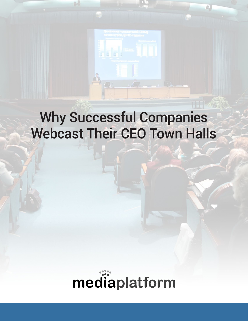

# Why Successful Companies Webcast Their CEO Town Halls

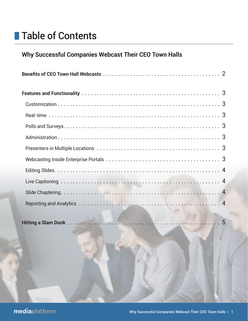## **n** Table of Contents

## **Why Successful Companies Webcast Their CEO Town Halls**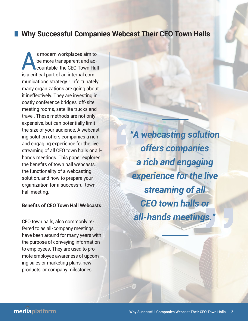## **Why Successful Companies Webcast Their CEO Town Halls**

s modern workplaces aim to<br>be more transparent and ac-<br>countable, the CEO Town Hal be more transparent and accountable, the CEO Town Hall is a critical part of an internal communications strategy. Unfortunately many organizations are going about it ineffectively. They are investing in costly conference bridges, off-site meeting rooms, satellite trucks and travel. These methods are not only expensive, but can potentially limit the size of your audience. A webcasting solution offers companies a rich and engaging experience for the live streaming of all CEO town halls or allhands meetings. This paper explores the benefits of town hall webcasts, the functionality of a webcasting solution, and how to prepare your organization for a successful town hall meeting.

#### **Benefits of CEO Town Hall Webcasts**

CEO town halls, also commonly referred to as all-company meetings, have been around for many years with the purpose of conveying information to employees. They are used to promote employee awareness of upcoming sales or marketing plans, new products, or company milestones.

*"A webcasting solution offers companies a rich and engaging experience for the live streaming of all CEO town halls or all-hands meetings."* ds meet

*—*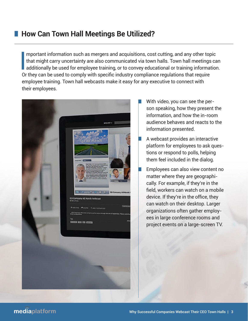## **■ How Can Town Hall Meetings Be Utilized?**

|<br>|<br>Or mportant information such as mergers and acquisitions, cost cutting, and any other topic that might carry uncertainty are also communicated via town halls. Town hall meetings can additionally be used for employee training, or to convey educational or training information. Or they can be used to comply with specific industry compliance regulations that require employee training. Town hall webcasts make it easy for any executive to connect with their employees.



- With video, you can see the person speaking, how they present the information, and how the in-room audience behaves and reacts to the information presented.
- A webcast provides an interactive platform for employees to ask questions or respond to polls, helping them feel included in the dialog.
- Employees can also view content no matter where they are geographically. For example, if they're in the field, workers can watch on a mobile device. If they're in the office, they can watch on their desktop. Larger organizations often gather employees in large conference rooms and project events on a large-screen TV.

#### mediaplatform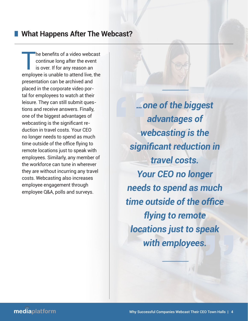### **No What Happens After The Webcast?**

The benefits of a video webcast<br>continue long after the event<br>is over. If for any reason an continue long after the event is over. If for any reason an employee is unable to attend live, the presentation can be archived and placed in the corporate video portal for employees to watch at their leisure. They can still submit questions and receive answers. Finally, one of the biggest advantages of webcasting is the significant reduction in travel costs. Your CEO no longer needs to spend as much time outside of the office flying to remote locations just to speak with employees. Similarly, any member of the workforce can tune in wherever they are without incurring any travel costs. Webcasting also increases employee engagement through employee Q&A, polls and surveys.

*…one of the biggest advantages of webcasting is the significant reduction in travel costs. Your CEO no longer needs to spend as much time outside of the office flying to remote locations just to speak with employees. —*

*—*